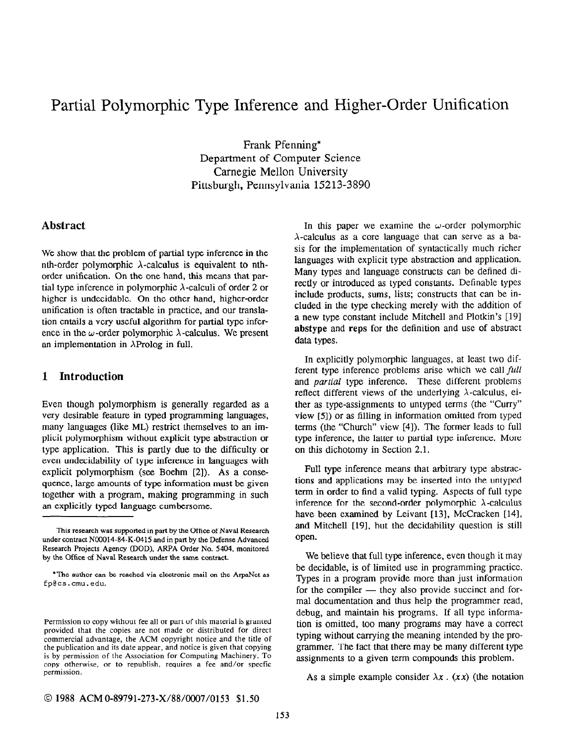# Partial Polymorphic Type Inference and Higher-Order Unification

Frank Pfenning' Department of Computer Science Carnegie Mellon University Pittsburgh, Pennsylvania 15213-3890

## Abstract

We show that the problem of partial type inference in the nth-order polymorphic  $\lambda$ -calculus is equivalent to nthorder unification. On the one hand, this means that partial type inference in polymorphic  $\lambda$ -calculi of order 2 or higher is undecidable. On the other hand, higher-order unification is often tractable in practice, and our translation entails a very useful algorithm for partial type inference in the  $\omega$ -order polymorphic  $\lambda$ -calculus. We present an implementation in  $\lambda$ Prolog in full.

## 1 Introduction

Even though polymorphism is generally regarded as a very desirable feature in typed programming languages, many languages (like ML) restrict themselves to an implicit polymorphism without explicit type abstraction or type application, This is partly due to the difficulty or even undecidability of type inference in languages with explicit polymorphism (see Boehm [2]). As a consequence, large amounts of type information must be given together with a program, making programming in such an explicitly typed language cumbersome.

In this paper we examine the  $\omega$ -order polymorphic  $\lambda$ -calculus as a core language that can serve as a basis for the implementation of syntactically much richer languages with explicit type abstraction and application. Many types and language constructs can be defined directly or introduced as typed constants. Definable types include products, sums, lists: constructs that can be included in the type checking merely with the addition of a new type constant include Mitchell and Plotkin's 1191 abstype and reps for the definition and use of abstract data types.

In explicitly polymorphic languages, at least two different type inference problems arise which we call full and partial type inference. These different problems reflect different views of the underlying  $\lambda$ -calculus, either as type-assignments to untyped terms (the "Curry" view [S]) or as filling in information omitted from typed terms (the "Church" view [4]). The former leads to full type inference, the latter to partial type inference. More on this dichotomy in Section 2.1.

Full type inference means that arbitrary type abstractions and applications may be inserted into the untyped term in order to find a valid typing. Aspects of full type inference for the second-order polymorphic  $\lambda$ -calculus have been examined by Leivant [13], McCracken [14], and Mitchell [19], but the decidability question is still open.

We believe that full type inference, even though it may be decidable, is of limited use in programming practice. Types in a program provide more than just information for the compiler — they also provide succinct and formal documentation and thus help the programmer read, debug, and maintain his programs. If all type information is omitted, too many programs may have a correct typing without carrying the meaning intended by the programmer. The fact that there may be many different type assignments to a given term compounds this problem.

As a simple example consider  $\lambda x$ . (xx) (the notation

This research was supported in part by the Office of Naval Research under contract N00014-84-K-0415 and in part by the Defense Advanced Research Projects Agency (DOD), ARPA Order No. 5404, monitored by the Office of Naval Research under the same contract.

<sup>\*</sup>The author can be reached via electronic mail on the ArpaNet as fp@cs.cmu.edu.

Permission to copy without fee all or part of this material is granted provided that the copies are not made or distributed for direct commercial advantage, the ACM copyright notice and the title of the publication and its date appear, and notice is given that copying is by permission of the Association for Computing Machinery. To copy otherwise, or to republish, requires a fee and/or specfic permission.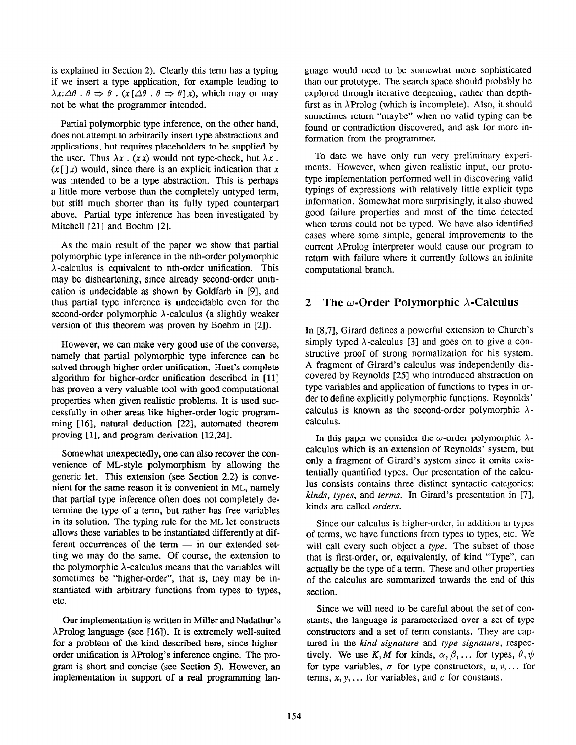is explained in Section 2). Clearly this term has a typing if we insert a type application, for example leading to  $\lambda x:\Delta \theta : \theta \Rightarrow \theta : (x[\Delta \theta : \theta \Rightarrow \theta]x)$ , which may or may not be what the programmer intended.

Partial polymorphic type inference, on the other hand, does not attempt to arbitrarily insert type abstractions and applications, but requires placeholders to be supplied by the user. Thus  $\lambda x$ . (xx) would not type-check, but  $\lambda x$ .  $(x \mid x)$  would, since there is an explicit indication that x was intended to be a type abstraction. This is perhaps a little more verbose than the completely untyped term, but still much shorter than its fully typed counterpart above. Partial type inference has been investigated by Mitchell [21] and Boehm [2].

As the main result of the paper we show that partial polymorphic type inference in the nth-order polymorphic  $\lambda$ -calculus is equivalent to nth-order unification. This may be disheartening, since already second-order unification is undecidable as shown by Goldfarb in [9], and thus partial type inference is undecidable even for the second-order polymorphic  $\lambda$ -calculus (a slightly weaker version of this theorem was proven by Boehm in [2]).

However, we can make very good use of the converse, namely that partial polymorphic type inference can be solved through higher-order unification. Huet's complete algorithm for higher-order unification described in [ll] has proven a very valuable tool with good computational properties when given realistic problems. It is used successfully in other areas like higher-order logic programming [16], natural deduction [22], automated theorem proving [1], and program derivation [12,24].

Somewhat unexpectedly, one can also recover the convenience of ML-style polymorphism by allowing the generic let. This extension (see Section 2.2) is convenient for the same reason it is convenient in ML, namely that partial type inference often does not completely determine the type of a term, but rather has free variables in its solution. The typing rule for the ML let constructs allows these variables to be instantiated differently at different occurrences of the term  $-$  in our extended setting we may do the same. Of course, the extension to the polymorphic  $\lambda$ -calculus means that the variables will sometimes be "higher-order", that is, they may be instantiated with arbitrary functions from types to types, etc.

Our implementation is written in Miller and Nadathur's  $\lambda$ Prolog language (see [16]). It is extremely well-suited for a problem of the kind described here, since higherorder unification is  $\lambda$ Prolog's inference engine. The program is short and concise (see Section 5). However, an implementation in support of a real programming language would need to be somewhat more sophisticated than our prototype. The search space should probably be explored through iterative deepening, rather than depthfirst as in  $\lambda$ Prolog (which is incomplete). Also, it should sometimes return "maybe" when no valid typing can be found or contradiction discovered, and ask for more information from the programmer.

To date we have only run very preliminary experiments. However, when given realistic input, our prototype implementation performed well in discovering valid typings of expressions with relatively little explicit type information. Somewhat more surprisingly, it also showed good failure properties and most of the time detected when terms could not be typed. We have also identified cases where some simple, general improvements to the current XProlog interpreter would cause our program to return with failure where it currently follows an infinite computational branch.

# 2 The  $\omega$ -Order Polymorphic  $\lambda$ -Calculus

In [8,7], Girard defines a powerful extension to Church's simply typed  $\lambda$ -calculus [3] and goes on to give a constructive proof of strong normalization for his system. A fragment of Girard's calculus was independendy discovered by Reynolds [25] who introduced abstraction on type variables and application of functions to types in order to define explicitly polymorphic functions. Reynolds' calculus is known as the second-order polymorphic  $\lambda$ calculus.

In this paper we consider the  $\omega$ -order polymorphic  $\lambda$ calculus which is an extension of Reynolds' system, but only a fragment of Girard's system since it omits existentially quantified types. Our presentation of the calculus consists contains three distinct syntactic categories: kinds, types, and terms. In Girard's presentation in [7], kinds are called orders.

Since our calculus is higher-order, in addition to types of terms, we have functions from types to types, etc. We will call every such object a type. The subset of those that is first-order, or, equivalently, of kind "Type", can actually be the type of a term. These and other properties of the calculus are summarized towards the end of this section.

Since we will need to be careful about the set of constants, the language is parameterized over a set of type constructors and a set of term constants. They are captured in the kind signature and type signature, respectively. We use K, M for kinds,  $\alpha, \beta, \ldots$  for types,  $\theta, \psi$ for type variables,  $\sigma$  for type constructors,  $u, v, \ldots$  for terms,  $x, y, \ldots$  for variables, and c for constants.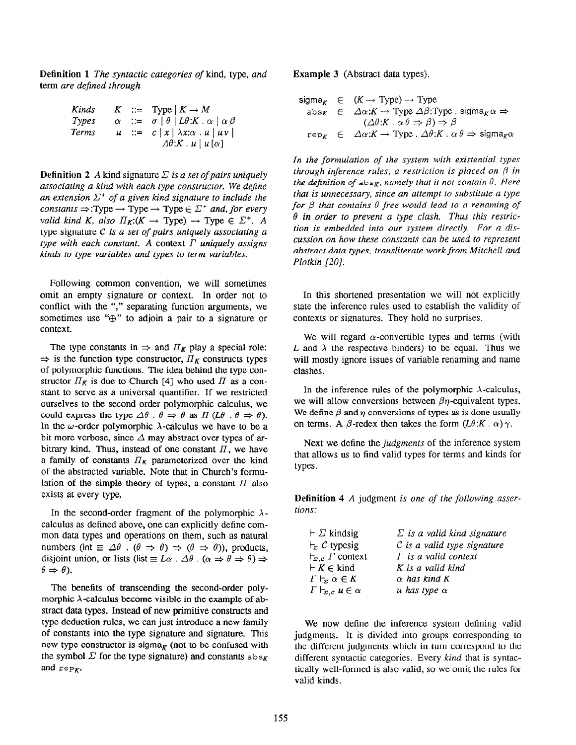Definition 1 The syntactic categories of kind, type, and term are defined through

| Kinds        |  | $K$ ::= Type $ K \rightarrow M$                                                  |
|--------------|--|----------------------------------------------------------------------------------|
| Types        |  | $\alpha$ ::= $\sigma$   $\theta$   $L\theta$ : $K \cdot \alpha$   $\alpha \beta$ |
| <b>Terms</b> |  | $u := c  x  \lambda x : \alpha u   u v $                                         |
|              |  | $\Lambda\theta:K\mathcal{A}\mid u\left[\alpha\right]$                            |

**Definition 2** A kind signature  $\Sigma$  is a set of pairs uniquely associating a kind with each type constructor. We dejine an extension  $\Sigma^+$  of a given kind signature to include the constants  $\Rightarrow$ :Type  $\rightarrow$  Type  $\rightarrow$  Type  $\in \Sigma^+$  and, for every valid kind K, also  $\Pi_K:(K \to \text{Type}) \to \text{Type} \in \Sigma^+$ . A type signature  $C$  is a set of pairs uniquely associating  $a$ type with each constant. A context  $\Gamma$  uniquely assigns kinds to type variables and types to term variables.

Following common convention, we will sometimes omit an empty signature or context. In order not to conflict with the "," separating function arguments, we sometimes use " $\oplus$ " to adjoin a pair to a signature or context.

The type constants in  $\Rightarrow$  and  $\Pi_K$  play a special role:  $\Rightarrow$  is the function type constructor,  $\Pi_K$  constructs types of polymorphic functions. The idea behind the type constructor  $\Pi_K$  is due to Church [4] who used  $\Pi$  as a constant to serve as a universal quantifier. If we restricted ourselves to the second order polymorphic calculus, we could express the type  $\Delta\theta$ .  $\theta \Rightarrow \theta$  as IT (L $\theta$ .  $\theta \Rightarrow \theta$ ). In the  $\omega$ -order polymorphic  $\lambda$ -calculus we have to be a bit more verbose, since  $\Delta$  may abstract over types of arbitrary kind. Thus, instead of one constant  $\Pi$ , we have a family of constants  $II_K$  parameterized over the kind of the abstracted variable. Note that in Church's formulation of the simple theory of types, a constant  $\Pi$  also exists at every type,

In the second-order fragment of the polymorphic  $\lambda$ calculus as defined above, one can explicitly define common data types and operations on them, such as natural numbers (int  $\equiv \Delta \theta$ .  $(\theta \Rightarrow \theta) \Rightarrow (\theta \Rightarrow \theta)$ ), products, disjoint union, or lists (list  $\equiv L\alpha$ .  $\Delta\theta$ .  $(\alpha \Rightarrow \theta \Rightarrow \theta) \Rightarrow$  $\theta \Rightarrow \theta$ ).

The benefits of transcending the second-order polymorphic  $\lambda$ -calculus become visible in the example of abstract data types. Instead of new primitive constructs and type deduction rules, we can just introduce a new family of constants into the type signature and signature. This new type constructor is sigma $_K$  (not to be confused with the symbol  $\Sigma$  for the type signature) and constants  $a_{\text{obs}}$ and  $rep<sub>K</sub>$ .

Example 3 (Abstract data types).

$$
\begin{array}{rcl}\n\text{sigma}_K & \in & (K \to \text{Type}) \to \text{Type} \\
\text{abs}_K & \in & \Delta \alpha: K \to \text{Type } \Delta \beta: \text{Type } . \text{ sigma}_K \alpha \Rightarrow \\
&\quad (\Delta \theta: K \cdot \alpha \theta \Rightarrow \beta) \Rightarrow \beta \\
\text{rep}_K & \in & \Delta \alpha: K \to \text{Type } . \Delta \theta: K \cdot \alpha \theta \Rightarrow \text{sigma}_K \alpha\n\end{array}
$$

In the formulation of the system with existential types through inference rules, a restriction is placed on  $\beta$  in the definition of  $abs_K$ , namely that it not contain  $\theta$ . Here that is unnecessary, since an attempt to substitute a type for  $\beta$  that contains  $\theta$  free would lead to a renaming of  $\theta$  in order to prevent a type clash. Thus this restriction is embedded into our system directly. For a discussion on how these constants can be used to represent abstract data types, transliterate work from Mitchell and Plotkin [20].

In this shortened presentation we will not explicitly state the inference rules used to establish the validity of contexts or signatures. They hold no surprises.

We will regard  $\alpha$ -convertible types and terms (with L and  $\lambda$  the respective binders) to be equal. Thus we will mostly ignore issues of variable renaming and name clashes.

In the inference rules of the polymorphic  $\lambda$ -calculus, we will allow conversions between  $\beta$ *n*-equivalent types. We define  $\beta$  and  $\eta$  conversions of types as is done usually on terms. A  $\beta$ -redex then takes the form  $(L\theta:K \cdot \alpha)\gamma$ .

Next we define the *judgments* of the inference system that allows us to find valid types for terms and kinds for types.

Definition 4 A judgment is one of the following assertions:

| $\vdash \Sigma$ kindsig                 | $\Sigma$ is a valid kind signature |
|-----------------------------------------|------------------------------------|
| $\vdash_{\Sigma} C$ typesig             | $C$ is a valid type signature      |
| $\vdash_{\Sigma,c} \Gamma$ context      | $\Gamma$ is a valid context        |
| $\vdash K \in$ kind                     | K is a valid kind                  |
| $\Gamma \vdash_{\Gamma} \alpha \in K$   | $\alpha$ has kind K                |
| $\Gamma\vdash_{\varSigma,c} u\in\alpha$ | u has type $\alpha$                |

We now define the inference system defining valid judgments. It is divided into groups corresponding to the different judgments which in turn correspond to the different syntactic categories. Every kind that is syntactically well-formed is also valid, so we omit the rules for valid kinds.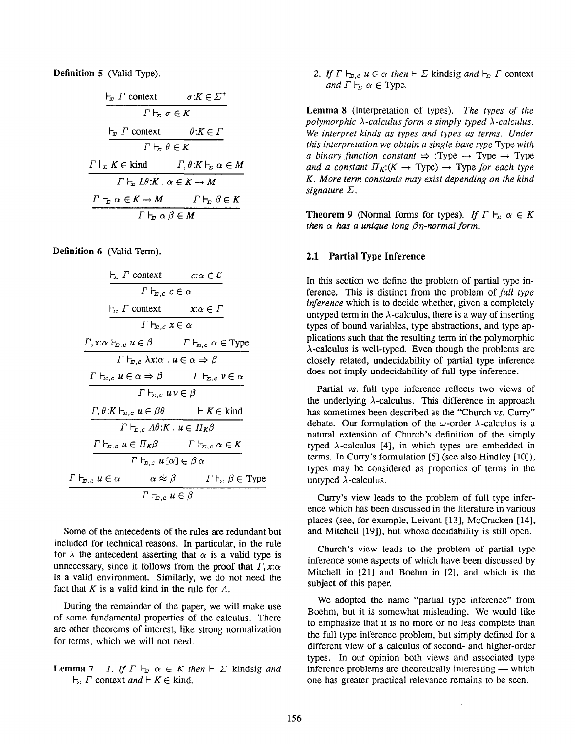Definition 5 (Valid Type).

$$
\frac{\vdash_{\Sigma} \Gamma \text{ context } \sigma: K \in \Sigma^{+}
$$
\n
$$
\Gamma \vdash_{\Sigma} \sigma \in K
$$
\n
$$
\frac{\vdash_{\Sigma} \Gamma \text{ context } \theta: K \in \Gamma}{\Gamma \vdash_{\Sigma} \theta \in K}
$$
\n
$$
\frac{\Gamma \vdash_{\Sigma} K \in \text{kind} \Gamma, \theta: K \vdash_{\Sigma} \alpha \in M}{\Gamma \vdash_{\Sigma} L\theta: K \cdot \alpha \in K \to M}
$$
\n
$$
\frac{\Gamma \vdash_{\Sigma} \alpha \in K \to M \Gamma \vdash_{\Sigma} \beta \in K}{\Gamma \vdash_{\Sigma} \alpha \beta \in M}
$$

Definition 6 (Valid Term).

$$
\frac{\frac{1}{T_{\Sigma}} \Gamma \text{ context } c: \alpha \in C}{\Gamma \vdash_{\Sigma, c} c \in \alpha}
$$
\n
$$
\frac{\Gamma_{\Sigma} \Gamma \text{ context } x: \alpha \in \Gamma}{\Gamma \vdash_{\Sigma, c} x \in \alpha}
$$
\n
$$
\frac{\Gamma, x: \alpha \vdash_{\Sigma, c} u \in \beta \qquad \Gamma \vdash_{\Sigma, c} \alpha \in \text{Type}}{\Gamma \vdash_{\Sigma, c} \lambda x: \alpha \cdot u \in \alpha \Rightarrow \beta}
$$
\n
$$
\frac{\Gamma \vdash_{\Sigma, c} u \in \alpha \Rightarrow \beta \qquad \Gamma \vdash_{\Sigma, c} v \in \alpha}{\Gamma \vdash_{\Sigma, c} u \nu \in \beta}
$$
\n
$$
\frac{\Gamma, \theta: K \vdash_{\Sigma, c} u \in \beta \theta \qquad \vdash K \in \text{kind}}{\Gamma \vdash_{\Sigma, c} A \theta: K \cdot u \in \Pi_K \beta}
$$
\n
$$
\frac{\Gamma \vdash_{\Sigma, c} u \in \Pi_K \beta \qquad \Gamma \vdash_{\Sigma, c} \alpha \in K}{\Gamma \vdash_{\Sigma, c} u \{ \alpha \} \in \beta \alpha}
$$
\n
$$
\frac{\Gamma \vdash_{\Sigma, c} u \in \alpha \qquad \alpha \approx \beta \qquad \Gamma \vdash_{\Sigma} \beta \in \text{Type}}{\Gamma \vdash_{\Sigma, c} u \in \beta}
$$

Some of the antecedents of the rules are redundant but included for technical reasons. In particular, in the rule for  $\lambda$  the antecedent asserting that  $\alpha$  is a valid type is unnecessary, since it follows from the proof that  $\Gamma$ ,  $x:\alpha$ is a valid environment. Similarly, we do not need the fact that K is a valid kind in the rule for  $\Lambda$ .

During the remainder of the paper, we will make use of some fundamental properties of the calculus. There are other theorems of interest, like strong normalization for terms, which we will not need.

**Lemma 7** 1. If  $\Gamma \vdash_{\Sigma} \alpha \in K$  then  $\vdash \Sigma$  kindsig and  $\vdash_{\Sigma} \Gamma$  context and  $\vdash K \in$  kind.

2. If  $\Gamma \vdash_{\Sigma,c} u \in \alpha$  then  $\vdash \Sigma$  kindsig and  $\vdash_{\Sigma} \Gamma$  context and  $\Gamma \vdash_{\Gamma} \alpha \in \text{Type.}$ 

Lemma 8 (Interpretation of types). The types of the polymorphic  $\lambda$ -calculus form a simply typed  $\lambda$ -calculus. We interpret kinds as types and types as terms. Under this interpretation we obtain a single base type Type with a binary function constant  $\Rightarrow$  :Type  $\rightarrow$  Type  $\rightarrow$  Type and a constant  $\Pi_K$ :  $(K \to Type) \to Type$  for each type K. More term constants may exist depending on the kind signature  $\Sigma$ .

**Theorem 9** (Normal forms for types). If  $\Gamma \vdash_{\mathbb{E}} \alpha \in K$ then  $\alpha$  has a unique long  $\beta\eta$ -normal form.

## 2.1 Partial Type Inference

In this section we define the problem of partial type inference. This is distinct from the problem of full type inference which is to decide whether, given a completely untyped term in the  $\lambda$ -calculus, there is a way of inserting types of bound variables, type abstractions, and type applications such that the resulting term in the polymorphic  $\lambda$ -calculus is well-typed. Even though the problems are closely related, undecidability of partial type inference does not imply undecidability of full type inference.

Partial vs. full type inference reflects two views of the underlying  $\lambda$ -calculus. This difference in approach has sometimes been described as the "Church vs. Curry" debate. Our formulation of the  $\omega$ -order  $\lambda$ -calculus is a natural extension of Church's definition of the simply typed  $\lambda$ -calculus [4], in which types are embedded in terms. In Curry's formulation  $[5]$  (see also Hindley  $[10]$ ), types may be considered as properties of terms in the untyped  $\lambda$ -calculus.

Curry's view leads to the problem of full type inference which has been discussed in the literature in various places (see, for example, Leivant [13], McCracken [14], and Mitchell [19]), but whose decidability is still open.

Church's view leads to the problem of partial type inference some aspects of which have been discussed by Mitchell in  $[21]$  and Boehm in  $[2]$ , and which is the subject of this paper.

We adopted the name "partial type inference" from Boehm, but it is somewhat misleading. We would like to emphasize that it is no more or no less complete than the full type inference problem, but simply defined for a different view of a calculus of second- and higher-order types. In our opinion both views and associated type inference problems are theoretically interesting  $-$  which one has greater practical relevance remains to be seen.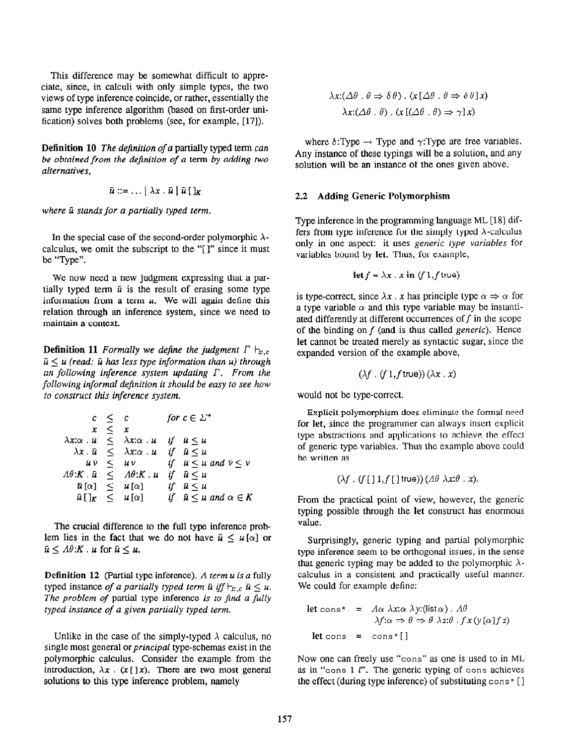This difference may be somewhat difficult to appreciate, since, in calculi with only simple types, the two views of type inference coincide, or rather, essentially the same type inference algorithm (based on first-order unification) solves both problems (see, for example, [17]).

Definition 10 The definition of a partially typed term can be obtained from the definition of a term by adding two alternatives,

$$
\bar{u} ::= \ldots | \lambda x \cdot \bar{u} | \bar{u} [ ]_{K}
$$

where  $\bar{u}$  stands for a partially typed term.

In the special case of the second-order polymorphic  $\lambda$ calculus, we omit the subscript to the "[ 1" since it must be "Type".

We now need a new judgment expressing that a partially typed term  $\bar{u}$  is the result of erasing some type information from a term  $u$ . We will again define this relation through an inference system, since we need to maintain a context.

**Definition 11** Formally we define the judgment  $\Gamma \vdash_{\Sigma,c}$  $\bar{u} \le u$  (read:  $\bar{u}$  has less type information than u) through an following inference system updating  $\Gamma$ . From the following informal definition it should be easy to see how to construct this inference system.

$$
c \leq c \quad \text{for } c \in \Sigma^*
$$
  
\n
$$
x \leq x
$$
  
\n
$$
\lambda x : \bar{u} \leq \lambda x : \alpha \cdot u \quad \text{if} \quad \bar{u} \leq u
$$
  
\n
$$
\lambda x \cdot \bar{u} \leq \lambda x : \alpha \cdot u \quad \text{if} \quad \bar{u} \leq u
$$
  
\n
$$
\bar{u} \bar{v} \leq uv \quad \text{if} \quad \bar{u} \leq u \text{ and } \bar{v} \leq v
$$
  
\n
$$
A\theta : K \cdot \bar{u} \leq A\theta : K \cdot u \quad \text{if} \quad \bar{u} \leq u
$$
  
\n
$$
\bar{u}[\alpha] \leq u[\alpha] \quad \text{if} \quad \bar{u} \leq u
$$
  
\n
$$
\bar{u}[\]_K \leq u[\alpha] \quad \text{if} \quad \bar{u} \leq u \text{ and } \alpha \in K
$$

The crucial difference to the full type inference problem lies in the fact that we do not have  $\bar{u} \leq u[\alpha]$  or  $\bar{u} \leq A\theta:K$ . u for  $\bar{u} \leq u$ .

**Definition 12** (Partial type inference). A term  $u$  is a fully typed instance of a partially typed term  $\bar{u}$  iff  $\vdash_{\Sigma,c} \bar{u} \leq u$ . The problem of partial type inference is to find a fully typed instance of a given partially typed term.

Unlike in the case of the simply-typed  $\lambda$  calculus, no single most general or *principal* type-schemas exist in the polymorphic calculus. Consider the example from the introduction,  $\lambda x$ . (x [] x). There are two most general solutions to this type inference problem, namely

$$
\lambda x: (\Delta \theta \cdot \theta \Rightarrow \delta \theta) \cdot (x [\Delta \theta \cdot \theta \Rightarrow \delta \theta] x)
$$

$$
\lambda x: (\Delta \theta \cdot \theta) \cdot (x [(\Delta \theta \cdot \theta) \Rightarrow \gamma] x)
$$

where  $\delta$ :Type  $\rightarrow$  Type and  $\gamma$ :Type are free variables. Any instance of these typings will be a solution, and any solution will be an instance of the ones given above.

### 2.2 Adding Generic Polymorphism

Type inference in the programming language ML [18] differs from type inference for the simply typed  $\lambda$ -calculus only in one aspect: it uses generic type variables for variables bound by let. Thus, for example,

$$
\text{let } f = \lambda x \cdot x \text{ in } (f \cdot 1, f \text{ true})
$$

is type-correct, since  $\lambda x$ . x has principle type  $\alpha \Rightarrow \alpha$  for a type variable  $\alpha$  and this type variable may be instantiated differently at different occurrences of  $f$  in the scope of the binding on  $f$  (and is thus called *generic*). Hence let cannot be treated merely as syntactic sugar, since the expanded version of the example above,

$$
(\lambda f \cdot (f 1, f true)) (\lambda x \cdot x)
$$

would not be type-correct.

Explicit polymorphism does eliminate the formal need for let, since the programmer can always insert explicit type abstractions and applications to achieve the effect of generic type variables. Thus the example above could be written as

$$
(\lambda f \cdot (f [ ] 1, f [ ] true)) (\Lambda \theta \lambda x : \theta \cdot x).
$$

From the practical point of view, however, the generic typing possible through the let construct has enormous value.

Surprisingly, generic typing and partial polymorphic type inference seem to be orthogonal issues, in the sense that generic typing may be added to the polymorphic  $\lambda$ calculus in a consistent and practically useful manner. We could for example define:

Let 
$$
\cos^* = A\alpha \lambda x:\alpha \lambda y:(\text{list }\alpha) \cdot A\theta
$$
  
\n $\lambda f:\alpha \Rightarrow \theta \Rightarrow \theta \lambda z:\theta \cdot f x(y[\alpha]f z)$   
\nlet  $\cos = \cos^*[]$ 

Now one can freely use "cons" as one is used to in ML as in "cons  $1$   $l$ ". The generic typing of cons achieves the effect (during type inference) of substituting cons\* []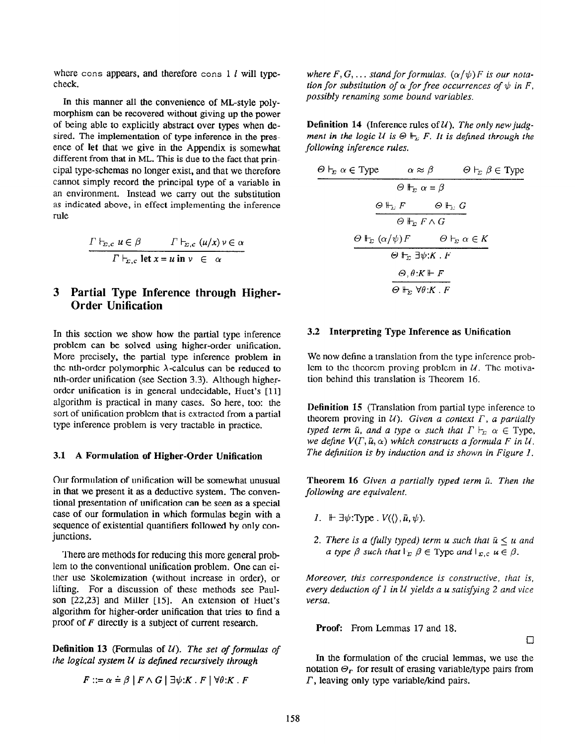where cons appears, and therefore cons  $1$  l will typecheck.

In this manner all the convenience of ML-style polymorphism can be recovered without giving up the power of being able to explicitly abstract over types when desired. The implementation of type inference in the presence of let that we give in the Appendix is somewhat different from that in ML. This is due to the fact that principal type-schemas no longer exist, and that we therefore cannot simply record the principal type of a variable in an environment. Instead we carry out the substitution as indicated above, in effect implementing the inference rule

$$
\frac{\Gamma \vdash_{\Sigma,c} u \in \beta \qquad \Gamma \vdash_{\Sigma,c} (u/x) \vee \in \alpha}{\Gamma \vdash_{\Sigma,c} \text{let } x = u \text{ in } v \in \alpha}
$$

# 3 Partial Type Inference through Higher-Order Unification

In this section we show how the partial type inference problem can be solved using higher-order unification. More precisely, the partial type inference problem in the nth-order polymorphic  $\lambda$ -calculus can be reduced to nth-order unification (see Section 3.3). Although higherorder unification is in general undecidable, Huet's [11] algorithm is practical in many cases. So here, too: the sort of unification problem that is extracted from a partial type inference problem is very tractable in practice.

#### 3.1 A Formulation of Higher-Order Unification

Our formulation of unification will be somewhat unusual in that we present it as a deductive system. The conventional presentation of unification can be seen as a special case of our formulation in which formulas begin with a sequence of existential quantifiers followed by only conjunctions.

There are methods for reducing this more general problem to the conventional unification problem. One can either use Skolemization (without increase in order), or lifting. For a discussion of these methods see Paulson  $[22,23]$  and Miller  $[15]$ . An extension of Huet's algorithm for higher-order unification that tries to find a proof of F directly is a subject of current research.

**Definition 13** (Formulas of  $U$ ). The set of formulas of the logical system  $U$  is defined recursively through

$$
F ::= \alpha \doteq \beta \mid F \wedge G \mid \exists \psi: K \cdot F \mid \forall \theta: K \cdot F
$$

where  $F, G, \ldots$  stand for formulas.  $(\alpha/\psi) F$  is our notation for substitution of  $\alpha$  for free occurrences of  $\psi$  in F, possibly renaming some bound variables.

**Definition 14** (Inference rules of  $U$ ). The only new judgment in the logic U is  $\Theta \Vdash_{\Sigma} F$ . It is defined through the following inference rules.

$$
\Theta \vdash_{\Sigma} \alpha \in \text{Type} \qquad \alpha \approx \beta \qquad \Theta \vdash_{\Sigma} \beta \in \text{Type}
$$
\n
$$
\Theta \Vdash_{\Sigma} \alpha = \beta
$$
\n
$$
\Theta \Vdash_{\Sigma} F \qquad \Theta \Vdash_{\Sigma} G
$$
\n
$$
\Theta \Vdash_{\Sigma} F \wedge G
$$
\n
$$
\Theta \Vdash_{\Sigma} (\alpha/\psi)F \qquad \Theta \vdash_{\Sigma} \alpha \in K
$$
\n
$$
\Theta \Vdash_{\Sigma} \exists \psi: K \cdot F
$$
\n
$$
\Theta, \theta: K \Vdash F
$$
\n
$$
\Theta \Vdash_{\Sigma} \forall \theta: K \cdot F
$$

#### 3.2 Interpreting Type Inference as Unification

We now define a translation from the type inference problem to the theorem proving problem in  $U$ . The motivation behind this translation is Theorem 16.

Definition 15 (Translation from partial type inference to theorem proving in  $U$ ). Given a context  $\Gamma$ , a partially typed term  $\bar{u}$ , and a type  $\alpha$  such that  $\Gamma \vdash_{\Sigma} \alpha \in \mathrm{Type}$ , we define  $V(\Gamma, \bar{u}, \alpha)$  which constructs a formula F in U. The definition is by induction and is shown in Figure 1.

Theorem 16 Given a partially typed term  $\bar{u}$ . Then the following are equivalent.

- 1.  $\mathbb{H} \exists \psi : \text{Type } \cdot V(\langle \rangle, \bar{\mu}, \psi).$
- 2. There is a (fully typed) term u such that  $\bar{u} \le u$  and a type  $\beta$  such that  $\vdash_{\Sigma} \beta \in \text{Type}$  and  $\vdash_{\Sigma, c} u \in \beta$ .

Moreover, this correspondence is constructive, that is, every deduction of  $1$  in  $U$  yields a u satisfying  $2$  and vice versa.

Proof: From Lemmas 17 and 18.

 $\Box$ 

In the formulation of the crucial lemmas, we use the notation  $\Theta_r$  for result of erasing variable/type pairs from  $\Gamma$ , leaving only type variable/kind pairs.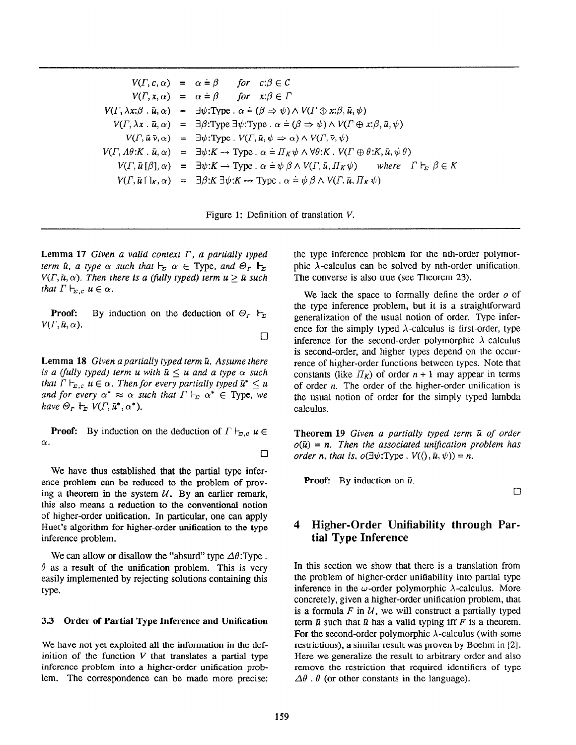|  | $V(\Gamma, c, \alpha) = \alpha \doteq \beta$ for $c: \beta \in \mathcal{C}$                                                                                                       |
|--|-----------------------------------------------------------------------------------------------------------------------------------------------------------------------------------|
|  | $V(\Gamma, x, \alpha) = \alpha \doteq \beta$ for $x: \beta \in \Gamma$                                                                                                            |
|  | $V(\Gamma, \lambda x:\beta \cdot \bar{u}, \alpha) = \exists \psi : \text{Type } \cdot \alpha = (\beta \Rightarrow \psi) \wedge V(\Gamma \oplus x:\beta, \bar{u}, \psi)$           |
|  | $V(\Gamma, \lambda x \cdot \bar{u}, \alpha) = \exists \beta$ :Type $\exists \psi$ :Type $\alpha = (\beta \Rightarrow \psi) \wedge V(\Gamma \oplus x; \beta, \bar{u}, \psi)$       |
|  | $V(\Gamma, \vec{u} \vec{v}, \alpha) = \exists \psi : \text{Type } \cdot V(\Gamma, \vec{u}, \psi \Rightarrow \alpha) \wedge V(\Gamma, \vec{v}, \psi)$                              |
|  | $V(\Gamma, \Lambda\theta:K, \bar{u}, \alpha) = \exists \psi:K \to \text{Type}. \alpha = \Pi_K \psi \wedge \forall \theta:K \cdot V(\Gamma \oplus \theta:K, \bar{u}, \psi \theta)$ |
|  | $V(\Gamma, \bar{u}[\beta], \alpha) = \exists \psi: K \to \text{Type}.$ $\alpha = \psi \beta \wedge V(\Gamma, \bar{u}, \Pi_K \psi)$ where $\Gamma \vdash_{\Sigma} \beta \in K$     |
|  | $V(\Gamma, \bar{u} [x, \alpha) = \exists \beta: K \exists \psi: K \rightarrow \text{Type}. \alpha = \psi \beta \wedge V(\Gamma, \bar{u}, \Pi_K \psi)$                             |

Figure 1: Definition of translation V.

 $\Box$ 

 $\Box$ 

Lemma 17 Given a valid context  $\Gamma$ , a partially typed term  $\bar{u}$ , a type  $\alpha$  such that  $\vdash_{\Sigma} \alpha \in \text{Type}$ , and  $\Theta_r \Vdash_{\Sigma}$  $V(\Gamma, \bar{u}, \alpha)$ . Then there is a (fully typed) term  $u > \bar{u}$  such that  $\Gamma \vdash_{\Sigma,c} u \in \alpha$ .

**Proof:** By induction on the deduction of  $\Theta_r$   $\mathbb{F}_{\Sigma}$  $V(\Gamma, \bar{u}, \alpha)$ .

Lemma 18 Given a partially typed term  $\bar{u}$ . Assume there is a (fully typed) term u with  $\bar{u} < u$  and a type  $\alpha$  such that  $\Gamma \vdash_{\Sigma,c} u \in \alpha$ . Then for every partially typed  $\bar{u}^* \leq u$ and for every  $\alpha^* \approx \alpha$  such that  $\Gamma \vdash_{\Sigma} \alpha^* \in \text{Type}$ , we have  $\Theta_r \Vdash_{\Sigma} V(\Gamma, \bar{\mu}^*, \alpha^*).$ 

**Proof:** By induction on the deduction of  $\Gamma \vdash_{\Sigma, c} u \in$  $\alpha$ .

We have thus established that the partial type inference problem can be reduced to the problem of proving a theorem in the system  $U$ . By an earlier remark, this also means a reduction to the conventional notion of higher-order unification. In particular, one can apply Huet's algorithm for higher-order unification to the type inference problem.

We can allow or disallow the "absurd" type  $\Delta\theta$ : Type .  $\theta$  as a result of the unification problem. This is very easily implemented by rejecting solutions containing this type.

#### 3.3 Order of Partial Type Inference and Unification

We have not yet exploited all the information in the definition of the function  $V$  that translates a partial type inference problem into a higher-order unification problem. The correspondence can be made more precise: the type inference problem for the nth-order polymorphic  $\lambda$ -calculus can be solved by nth-order unification. The converse is also true (see Theorem 23).

We lack the space to formally define the order  $\rho$  of the type inference problem, but it is a straightforward generalization of the usual notion of order. Type inference for the simply typed  $\lambda$ -calculus is first-order, type inference for the second-order polymorphic  $\lambda$ -calculus is second-order, and higher types depend on the occurrence of higher-order functions between types. Note that constants (like  $\Pi_{\kappa}$ ) of order  $n + 1$  may appear in terms of order  $n$ . The order of the higher-order unification is the usual notion of order for the simply typed lambda calculus.

**Theorem 19 Given a partially typed term**  $\bar{u}$  **of order**  $o(\bar{u}) = n$ . Then the associated unification problem has order n, that is,  $o(\exists \psi : Type \cdot V(\langle), \bar{u}, \psi)) = n$ .

**Proof:** By induction on  $\bar{u}$ .

 $\Box$ 

# 4 Higher-Order Unifiability through Partial Type Inference

In this section we show that there is a translation from the problem of higher-order unifiability into partial type inference in the  $\omega$ -order polymorphic  $\lambda$ -calculus. More concretely, given a higher-order unification problem, that is a formula  $F$  in  $U$ , we will construct a partially typed term  $\bar{u}$  such that  $\bar{u}$  has a valid typing iff F is a theorem. For the second-order polymorphic  $\lambda$ -calculus (with some restrictions), a similar result was proven by Boehm in [2]. Here we generalize the result to arbitrary order and also remove the restriction that required identifiers of type  $\Delta\theta$ .  $\theta$  (or other constants in the language).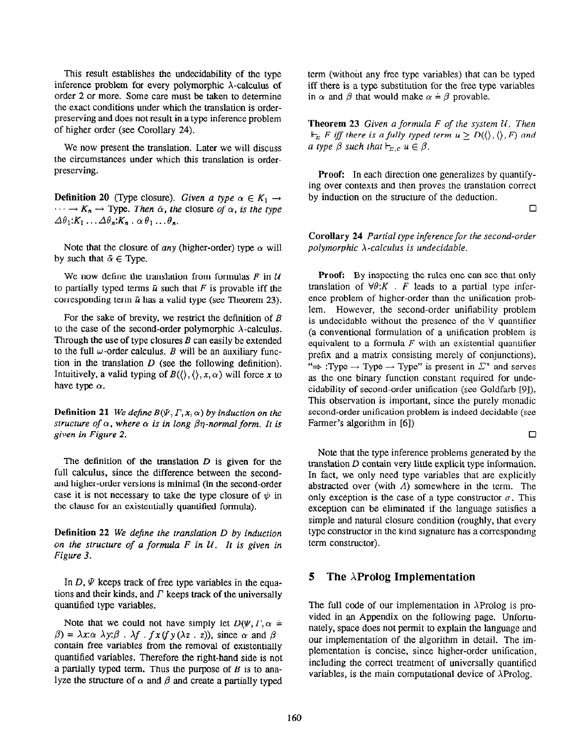This result establishes the undecidability of the type inference problem for every polymorphic  $\lambda$ -calculus of order 2 or more. Some care must be taken to determine the exact conditions under which the translation is orderpreserving and does not result in a type inference problem of higher order (see Corollary 24).

We now present the translation. Later we will discuss the circumstances under which this translation is orderpreserving.

**Definition 20** (Type closure). Given a type  $\alpha \in K_1 \rightarrow$  $\cdots \rightarrow K_n \rightarrow$  Type. Then  $\bar{\alpha}$ , the closure of  $\alpha$ , is the type  $\Delta\theta_1:K_1\ldots\Delta\theta_n:K_n\ldots\theta_1\ldots\theta_n.$ 

Note that the closure of any (higher-order) type  $\alpha$  will by such that  $\bar{\alpha} \in \text{Tvpe.}$ 

We now define the translation from formulas  $F$  in  $U$ to partially typed terms  $\bar{u}$  such that F is provable iff the corresponding term  $\bar{u}$  has a valid type (see Theorem 23).

For the sake of brevity, we restrict the definition of  $B$ to the case of the second-order polymorphic  $\lambda$ -calculus. Through the use of type closures  $B$  can easily be extended to the full  $\omega$ -order calculus. B will be an auxiliary function in the translation  $D$  (see the following definition). Intuitively, a valid typing of  $B(\langle \rangle, \langle \rangle, x, \alpha)$  will force x to have type  $\alpha$ .

Definition 21 We define  $B(\Psi, \Gamma, x, \alpha)$  by induction on the structure of  $\alpha$ , where  $\alpha$  is in long  $\beta\eta$ -normal form. It is given in Figure 2.

The definition of the translation  $D$  is given for the full calculus, since the difference between the secondand higher-order versions is minimal (in the second-order case it is not necessary to take the type closure of  $\psi$  in the clause for an existentially quantified formula).

Definition 22 We define the translation D by induction on the structure of a formula  $F$  in  $U$ . It is given in Figure 3.

In  $D$ ,  $\Psi$  keeps track of free type variables in the equations and their kinds, and  $\Gamma$  keeps track of the universally quantified type variables.

Note that we could not have simply let  $D(\Psi, \Gamma, \alpha =$  $\beta$ ) =  $\lambda x:\alpha \lambda y:\beta$ .  $\lambda f$ .  $f x(f y(\lambda z \cdot z))$ , since  $\alpha$  and  $\beta$ contain free variables from the removal of existentially quantified variables. Therefore the right-hand side is not a partially typed term. Thus the purpose of  $B$  is to analyze the structure of  $\alpha$  and  $\beta$  and create a partially typed term (without any free type variables) that can be typed iff there is a type substitution for the free type variables in  $\alpha$  and  $\beta$  that would make  $\alpha = \beta$  provable.

**Theorem 23** Given a formula  $F$  of the system  $U$ . Then  $\Vdash_{\Sigma}$  F iff there is a fully typed term  $u > D(\langle \rangle, \langle \rangle, F)$  and a type  $\beta$  such that  $\vdash_{\Sigma,c} u \in \beta$ .

Proof: In each direction one generalizes by quantifying over contexts and then proves the translation correct by induction on the structure of the deduction.

 $\Box$ 

Corollary 24 Partial type inference for the second-order polymorphic  $\lambda$ -calculus is undecidable.

Proof: By inspecting the rules one can see that only translation of  $\forall \theta$ : K . F leads to a partial type inference problem of higher-order than the unification problem. However, the second-order unifiability problem is undecidable without the presence of the  $\forall$  quantifier (a conventional formulation of a unification problem is equivalent to a formula  $F$  with an existential quantifier prefix and a matrix consisting merely of conjunctions). " $\Rightarrow$  :Type  $\rightarrow$  Type  $\rightarrow$  Type" is present in  $\Sigma^+$  and serves as the one binary function constant required for undecidability of second-order unification (see Goldfarb [9]). This observation is important, since the purely monadic second-order unification problem is indeed decidable (see Farmer's algorithm in [6])

 $\Box$ 

Note that the type inference problems generated by the translation D contain very little explicit type information. In fact, we only need type variables that are explicitly abstracted over (with  $\Lambda$ ) somewhere in the term. The only exception is the case of a type constructor  $\sigma$ . This exception can be eliminated if the language satisfies a simple and natural closure condition (roughly, that every type constructor in the kind signature has a corresponding term constructor).

## 5 The  $\lambda$ Prolog Implementation

The full code of our implementation in  $\lambda$ Prolog is provided in an Appendix on the following page. Unfortunately, space does not permit to explain the language and our implementation of the algorithm in detail. The implementation is concise, since higher-order unification, including the correct treatment of universally quantified variables, is the main computational device of  $\lambda$ Prolog.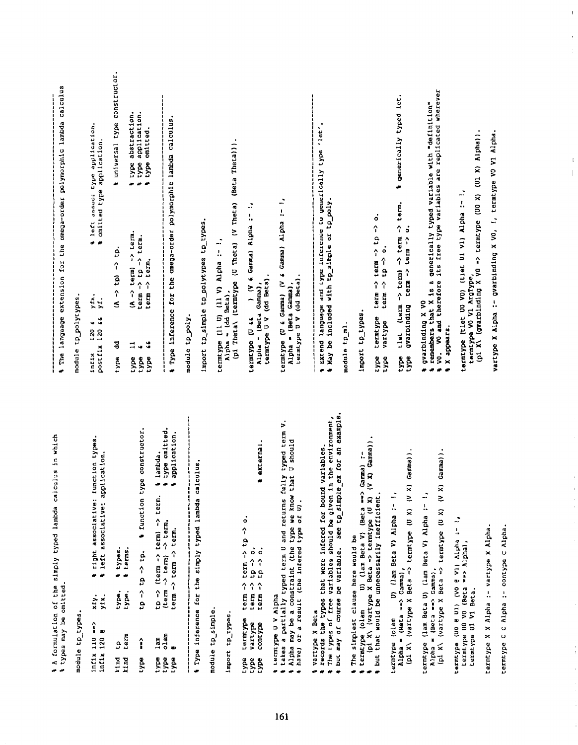| 1 A formulation of the simply typed lambda calculus in which                                                                                                                                                                 | ,,,,,,,,,,,,,,,,,,,,,,                                                                            |                                                                                                      | j                                                                                                                                      |
|------------------------------------------------------------------------------------------------------------------------------------------------------------------------------------------------------------------------------|---------------------------------------------------------------------------------------------------|------------------------------------------------------------------------------------------------------|----------------------------------------------------------------------------------------------------------------------------------------|
| types may be omitted.                                                                                                                                                                                                        |                                                                                                   |                                                                                                      | # The language extension for the omega-order polymorphic lambda calculus                                                               |
| module tp_types                                                                                                                                                                                                              | tp_polytypes<br>module                                                                            |                                                                                                      |                                                                                                                                        |
| right associative: function types.<br>+ left associative: application.<br>xfy.<br>yfx.<br>î<br>$\bullet$<br>$\ln f$ 1x 110<br>ln <sub>thx</sub> 120                                                                          | yfx.<br>yÍ.<br>ś<br>w<br>$intix = 120 i$                                                          |                                                                                                      | & left assoc: type application.<br>s omitted type application.                                                                         |
| types.<br>terms<br>$\bullet$<br>type.<br>type.<br>ធ្នូ។<br>ជូមី<br>kind<br>kind                                                                                                                                              | $\hat{\mathbf{a}}$<br>귕<br>type                                                                   | $\mathbf{5}$<br>$\hat{r}$<br>ê                                                                       | universal type constructor.<br>÷                                                                                                       |
| + function type constructor.<br>$tp \rightarrow tp.$<br>م<br>م<br>î<br>type                                                                                                                                                  | term -> term.<br>$\hat{\mathbf{z}}$<br>term<br>$\ddot{\bullet}$<br>⋣<br>w<br>type<br>type<br>type | tem.<br>term.<br>$\hat{\mathbf{r}}$<br>$\sim$ 01 $\sim$<br>term                                      | type abstraction.<br>application.<br>type omitted.<br>type<br>دي                                                                       |
| type omitted<br>application<br>lambda<br>÷<br>tp -> (term -> term) -> term.<br>-> term.<br>term -> term -> term.<br>$\rightarrow$ term)<br>(term<br>olam<br>$1$ am<br>œ<br>type<br>type<br>type                              | a Type inference for the omega-order polymorphic lambda calculus                                  |                                                                                                      |                                                                                                                                        |
| ---------<br>í                                                                                                                                                                                                               | module to poly                                                                                    |                                                                                                      |                                                                                                                                        |
| Iype inference for the simply typed lambda calculus                                                                                                                                                                          | import tp_simple tp_polytypes tp_types.                                                           |                                                                                                      |                                                                                                                                        |
| module tp_simple                                                                                                                                                                                                             | termtype (11 U) (11 V) Alpha :- !,                                                                |                                                                                                      |                                                                                                                                        |
| import tp_types                                                                                                                                                                                                              | Alpha - (dd Beta),                                                                                | (pi Theta) (termtype (U Theta) (V Theta)                                                             | (Beta Theta)).                                                                                                                         |
| axternal<br>۰<br>î<br>term $\rightarrow$ tp<br>$\dot{\circ}$<br>$\ddot{\circ}$<br>$\frac{1}{2}$<br>term -> to -><br>term -><br>term -><br>termtype<br>contype<br>vartype<br>type<br>type<br>type                             | $\frac{4}{2}$<br>(dd Beta)<br>Alpha = (Beta Gamma)<br>termtype U V<br>termtype (U 44              | ÷<br>ļ,<br>Gamma) Alpha                                                                              |                                                                                                                                        |
| takes a partially typed term U and returns fully typed term V.<br>U should<br>\$ Alpha may be a constraint (the type we know that<br>\$ have) or a result (the infered type of 0).<br>termtype U V Alpha<br>÷<br>$\bullet$   | (dd Beta)<br>Alpha = (Beta Gamma)<br>termtype (U & Gamma)<br>termtype U V                         | $\ddot{\cdot}$<br>ļ,<br>Gamma) Alpha<br>$\frac{1}{2}$                                                |                                                                                                                                        |
| but may of course be variable. See tp_simple_ex for an example<br>records the types that were infered for bound variables.<br>The types of free variables should be given in the environment,<br>vartype X Beta<br>$\bullet$ | May be included with tp_simple or tp_poly<br>module tp_ml<br>÷                                    | Extend language and type inference to generically type 'let'                                         |                                                                                                                                        |
| The simplest clause here would be<br>÷                                                                                                                                                                                       | import tp_types                                                                                   |                                                                                                      |                                                                                                                                        |
| \$ termtype (olam U) (lam Beta V) (Beta ==> Gamma) :-<br>\$ termtype (vartype X Beta => termtype (U X) (V X) Gamma)}<br>4 but that would be unnecessarily inefficient                                                        | $\hat{\mathbf{r}}$<br>$\hat{r}$<br>term<br>term<br>termtype<br>vartype<br>type<br>type            | $\dot{\circ}$<br>$\hat{\mathbf{r}}$<br>$\mathbf{a}$<br>$\hat{r}$<br>$\circ$<br>$\frac{1}{2}$<br>term |                                                                                                                                        |
| Gamma)<br>(pi X) (vartype X Beta => termtype (U X) (V X)<br>U) (lam Beta V) Alpha :- !,<br>Alpha = (Beta ==> Camma),<br>termtype (olam                                                                                       | î<br>gvarbinding<br>(tem<br>tlet<br>type<br>type                                                  | term.<br>1<br>$\dot{\circ}$<br>term<br>term -> term -><br>$\hat{\mathbf{r}}$<br>term                 | generically typed let.<br>÷                                                                                                            |
| Gamma)).<br>Alpha = (Beta ==> Camma),<br>(p1 X\ (vartype X Beta => termtype (U X) (V X)<br>termtype (lam Beta U) (lam Beta V) Alpha :- !,                                                                                    | gvarbinding X VO<br>X appears.<br>.<br>S                                                          |                                                                                                      | VO and therefore its free type variables are replicated wherever<br>remembers that X is a generically typed variable with "definition" |
| $\frac{1}{1}$<br>termtype (UO e Ul) (VO e V1) Alpha<br>termtype UO VO (Beta ==> Alpha),<br>termtype U1 V1 Beta.                                                                                                              | termtype (tlet UO VO) (tlet Ul Vl) Alpha :- !,<br>termtype V0 V1 ArgType,                         | (pi X) (gvarbinding X VO -> termtype (UO X) (Ul X) Alpha))                                           |                                                                                                                                        |
| termtype X X Alpha :- vartype X Alpha                                                                                                                                                                                        | vartype X Alpha :- gvarbinding X VO, !, termtype VO V1 Alpha.                                     |                                                                                                      |                                                                                                                                        |
| termtype C C Alpha :- contype C Alpha.                                                                                                                                                                                       |                                                                                                   |                                                                                                      |                                                                                                                                        |

 $\bar{\Gamma}$ 

 $\bar{z}$  $\frac{1}{2}$ 

> $\bar{t}$  $\|$

> > $\bar{\epsilon}$

 $\hat{\boldsymbol{\gamma}}$ 

 $\ddot{\phantom{0}}$  $\begin{array}{c} \begin{array}{c} \begin{array}{c} \begin{array}{c} \end{array} \end{array} \end{array} \end{array}$ 

 $\frac{1}{2}$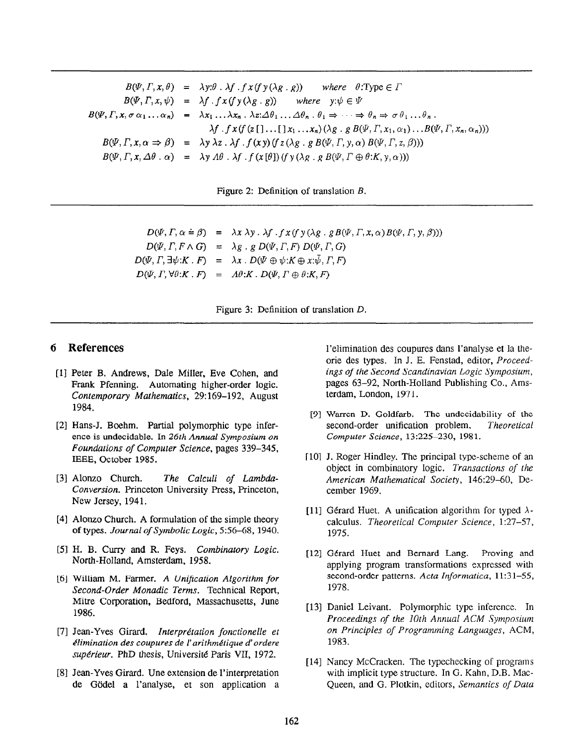$B(\Psi, \Gamma, x, \theta) = \lambda y: \theta \cdot \lambda f \cdot f x(f y(\lambda g \cdot g))$  where  $\theta: Type \in \Gamma$  $B(\Psi, \Gamma, x, \psi) = \lambda f \cdot f x (f y (\lambda g \cdot g))$  where  $y: \psi \in \Psi$  $B(\Psi,\Gamma,x,\sigma\alpha_1...\alpha_n) = \lambda x_1...\lambda x_n \cdot \lambda z \cdot \Delta \theta_1...\Delta \theta_n \cdot \theta_1 \Rightarrow \cdots \Rightarrow \theta_n \Rightarrow \sigma \theta_1...\theta_n$ .  $\lambda f \cdot f \cdot x(f(z[[...[[x_1 \ldots x_n](\lambda g \cdot g \cdot B(\Psi, \Gamma, x_1, \alpha_1) \ldots B(\Psi, \Gamma, x_n, \alpha_n)))$  $B(\Psi,\Gamma,x,\alpha \Rightarrow \beta) = \lambda y \lambda z \cdot \lambda f \cdot f(xy) (f z(\lambda g \cdot g B(\Psi,\Gamma,y,\alpha) B(\Psi,\Gamma,z,\beta)))$  $B(\Psi, \Gamma, x, \Delta\theta \cdot \alpha) = \lambda y A\theta \cdot \lambda f \cdot f(x[\theta])(f y(\lambda g \cdot g B(\Psi, \Gamma \oplus \theta:K, y, \alpha)))$ 

Figure 2: Definition of translation B.

 $D(\Psi,\Gamma,\alpha \doteq \beta) = \lambda x \lambda y \cdot \lambda f \cdot f x(f y(\lambda g \cdot g B(\Psi,\Gamma,x,\alpha) B(\Psi,\Gamma,y,\beta)))$  $D(\Psi, \Gamma, F \wedge G) = \lambda g \cdot g D(\Psi, \Gamma, F) D(\Psi, \Gamma, G)$  $D(\Psi, \Gamma, \exists \psi: K \cdot F) = \lambda x \cdot D(\Psi \oplus \psi: K \oplus x : \bar{\psi}, \Gamma, F)$  $D(\Psi, \Gamma, \forall \theta: K \cdot F) = A\theta: K \cdot D(\Psi, \Gamma \oplus \theta: K, F)$ 

Figure 3: Definition of translation D.

## 6 References

- [1] Peter B. Andrews, Dale Miller, Eve Cohen, and Frank Pfenning. Automating higher-order logic. Contemporary Mathematics, 29:169-192, August 1984.
- [2] Hans-J. Boehm. Partial polymorphic type inference is undecidable. In 26th Annual Symposium on Foundations of Computer Science, pages 339-345, IEEE, October 1985.
- [3] Alonzo Church. The Calculi of Lambda-Conversion. Princeton University Press, Princeton, New Jersey, 1941.
- t41 Alonzo Church. A formulation of the simple theory of types. Journal of Symbolic Logic, 5:56-68, 1940.
- [5] H. B. Curry and R. Feys. Combinatory Logic. North-Holland, Amsterdam, 1958.
- [6] William M. Farmer. A Unification Algorithm for Second-Order Monadic Terms. Technical Report, Mitre Corporation, Bedford, Massachusetts, June 1986.
- [7] Jean-Yves Girard. Interprétation fonctionelle et élimination des coupures de l'arithmétique d'ordere supérieur. PhD thesis, Université Paris VII, 1972.
- @I Jean-Yves Girard. Une extension de l'interpretation de Gödel a l'analyse, et son application a

l'elimination des coupures dans l'analyse et la theorie des types. In J. E. Fenstad, editor, Proceedings of the Second Scandinavian Logic Symposium, pages 63-92, North-Holland Publishing Co., Amsterdam, London, 1971.

- PI Warren D. Goldfarb. The undecidability of the second-order unification problem. Theoretical Computer Science, 13:225-230, 1981.
- [10] J. Roger Hindley. The principal type-scheme of an object in combinatory logic. Transactions of the American Mathematical Society, 146:29-60, December 1969.
- [11] Gérard Huet. A unification algorithm for typed  $\lambda$ calculus. Theoretical Computer Science, 1:27-57, 1975.
- [121 Gerard Huet and Bernard Lang. Proving and applying program transformations expressed with second-order patterns. Acta Informatica, 11:31-55, 1978.
- 1133 Daniel Leivant. Polymorphic type inference. In Proceedings of the 10th Annual ACM Symposium on Principles of Programming Languages, ACM, 1983.
- [14] Nancy McCracken. The typechecking of programs with implicit type structure. In G. Kahn, D.B. Mac-Queen, and G. Plotkin, editors, Semantics of Data